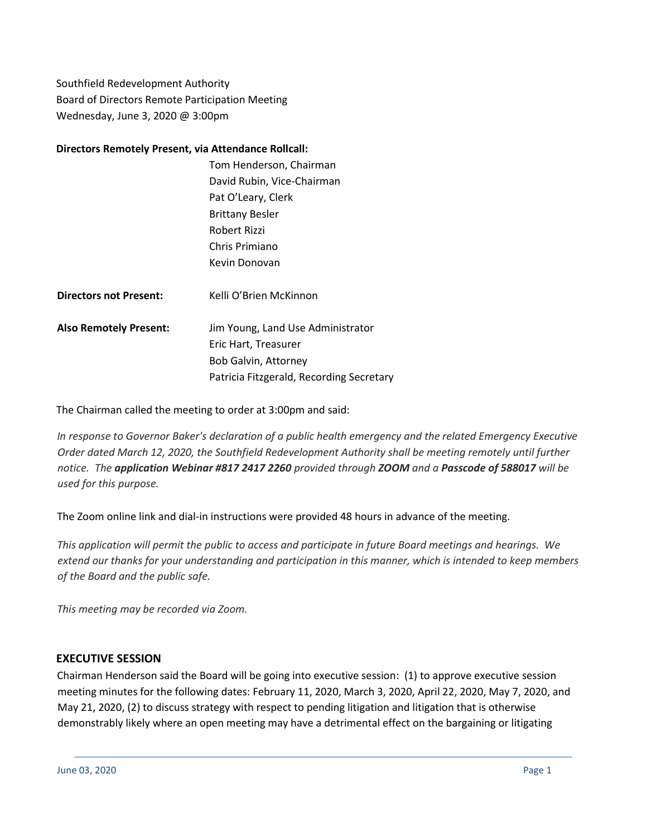Southfield Redevelopment Authority Board of Directors Remote Participation Meeting Wednesday, June 3, 2020 @ 3:00pm

### **Directors Remotely Present, via Attendance Rollcall:**

|                               | Tom Henderson, Chairman                  |
|-------------------------------|------------------------------------------|
|                               | David Rubin, Vice-Chairman               |
|                               | Pat O'Leary, Clerk                       |
|                               | <b>Brittany Besler</b>                   |
|                               | Robert Rizzi                             |
|                               | Chris Primiano                           |
|                               | Kevin Donovan                            |
|                               |                                          |
| <b>Directors not Present:</b> | Kelli O'Brien McKinnon                   |
|                               |                                          |
| <b>Also Remotely Present:</b> | Jim Young, Land Use Administrator        |
|                               | Eric Hart, Treasurer                     |
|                               | Bob Galvin, Attorney                     |
|                               | Patricia Fitzgerald, Recording Secretary |

The Chairman called the meeting to order at 3:00pm and said:

*In response to Governor Baker's declaration of a public health emergency and the related Emergency Executive Order dated March 12, 2020, the Southfield Redevelopment Authority shall be meeting remotely until further notice. The application Webinar #817 2417 2260 provided through ZOOM and a Passcode of 588017 will be used for this purpose.*

The Zoom online link and dial-in instructions were provided 48 hours in advance of the meeting.

This application will permit the public to access and participate in future Board meetings and hearings. We extend our thanks for your understanding and participation in this manner, which is intended to keep members *of the Board and the public safe.*

*This meeting may be recorded via Zoom.*

### **EXECUTIVE SESSION**

Chairman Henderson said the Board will be going into executive session: (1) to approve executive session meeting minutes for the following dates: February 11, 2020, March 3, 2020, April 22, 2020, May 7, 2020, and May 21, 2020, (2) to discuss strategy with respect to pending litigation and litigation that is otherwise demonstrably likely where an open meeting may have a detrimental effect on the bargaining or litigating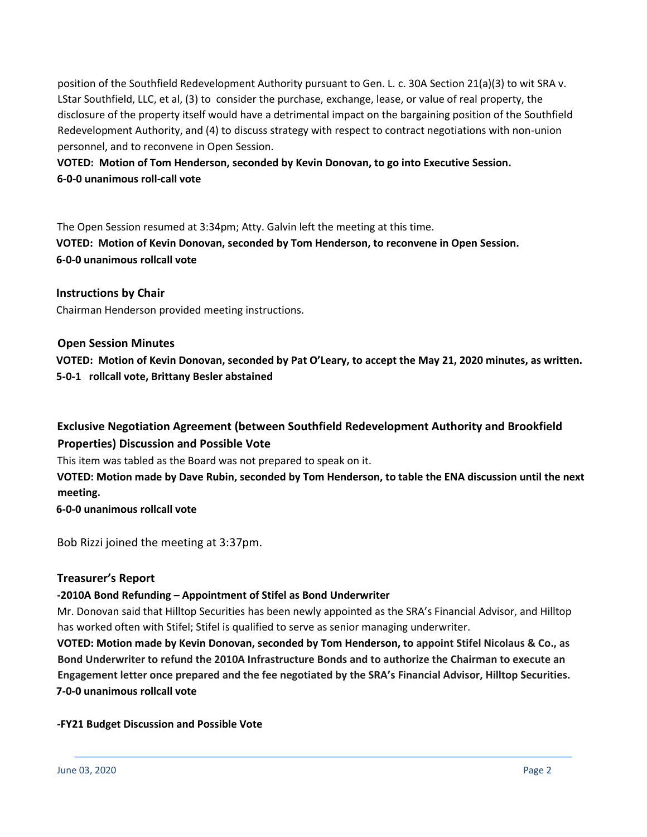position of the Southfield Redevelopment Authority pursuant to Gen. L. c. 30A Section 21(a)(3) to wit SRA v. LStar Southfield, LLC, et al, (3) to consider the purchase, exchange, lease, or value of real property, the disclosure of the property itself would have a detrimental impact on the bargaining position of the Southfield Redevelopment Authority, and (4) to discuss strategy with respect to contract negotiations with non-union personnel, and to reconvene in Open Session.

**VOTED: Motion of Tom Henderson, seconded by Kevin Donovan, to go into Executive Session. 6-0-0 unanimous roll-call vote**

The Open Session resumed at 3:34pm; Atty. Galvin left the meeting at this time. **VOTED: Motion of Kevin Donovan, seconded by Tom Henderson, to reconvene in Open Session. 6-0-0 unanimous rollcall vote**

**Instructions by Chair** Chairman Henderson provided meeting instructions.

**Open Session Minutes**

**VOTED: Motion of Kevin Donovan, seconded by Pat O'Leary, to accept the May 21, 2020 minutes, as written. 5-0-1 rollcall vote, Brittany Besler abstained**

**Exclusive Negotiation Agreement (between Southfield Redevelopment Authority and Brookfield Properties) Discussion and Possible Vote**

This item was tabled as the Board was not prepared to speak on it.

**VOTED: Motion made by Dave Rubin, seconded by Tom Henderson, to table the ENA discussion until the next meeting.**

**6-0-0 unanimous rollcall vote**

Bob Rizzi joined the meeting at 3:37pm.

# **Treasurer's Report**

# **-2010A Bond Refunding – Appointment of Stifel as Bond Underwriter**

Mr. Donovan said that Hilltop Securities has been newly appointed as the SRA's Financial Advisor, and Hilltop has worked often with Stifel; Stifel is qualified to serve as senior managing underwriter.

**VOTED: Motion made by Kevin Donovan, seconded by Tom Henderson, to appoint Stifel Nicolaus & Co., as Bond Underwriter to refund the 2010A Infrastructure Bonds and to authorize the Chairman to execute an Engagement letter once prepared and the fee negotiated by the SRA's Financial Advisor, Hilltop Securities. 7-0-0 unanimous rollcall vote**

### **-FY21 Budget Discussion and Possible Vote**